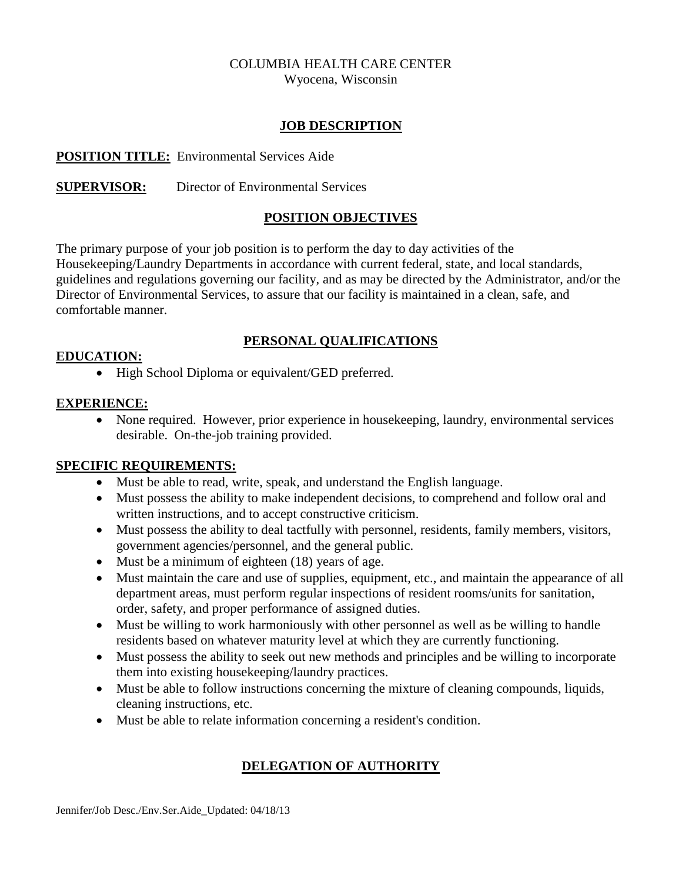# COLUMBIA HEALTH CARE CENTER

Wyocena, Wisconsin

#### **JOB DESCRIPTION**

#### **POSITION TITLE:** Environmental Services Aide

### **SUPERVISOR:** Director of Environmental Services

#### **POSITION OBJECTIVES**

The primary purpose of your job position is to perform the day to day activities of the Housekeeping/Laundry Departments in accordance with current federal, state, and local standards, guidelines and regulations governing our facility, and as may be directed by the Administrator, and/or the Director of Environmental Services, to assure that our facility is maintained in a clean, safe, and comfortable manner.

#### **PERSONAL QUALIFICATIONS**

#### **EDUCATION:**

• High School Diploma or equivalent/GED preferred.

#### **EXPERIENCE:**

• None required. However, prior experience in house keeping, laundry, environmental services desirable. On-the-job training provided.

#### **SPECIFIC REQUIREMENTS:**

- Must be able to read, write, speak, and understand the English language.
- Must possess the ability to make independent decisions, to comprehend and follow oral and written instructions, and to accept constructive criticism.
- Must possess the ability to deal tactfully with personnel, residents, family members, visitors, government agencies/personnel, and the general public.
- Must be a minimum of eighteen (18) years of age.
- Must maintain the care and use of supplies, equipment, etc., and maintain the appearance of all department areas, must perform regular inspections of resident rooms/units for sanitation, order, safety, and proper performance of assigned duties.
- Must be willing to work harmoniously with other personnel as well as be willing to handle residents based on whatever maturity level at which they are currently functioning.
- Must possess the ability to seek out new methods and principles and be willing to incorporate them into existing housekeeping/laundry practices.
- Must be able to follow instructions concerning the mixture of cleaning compounds, liquids, cleaning instructions, etc.
- Must be able to relate information concerning a resident's condition.

## **DELEGATION OF AUTHORITY**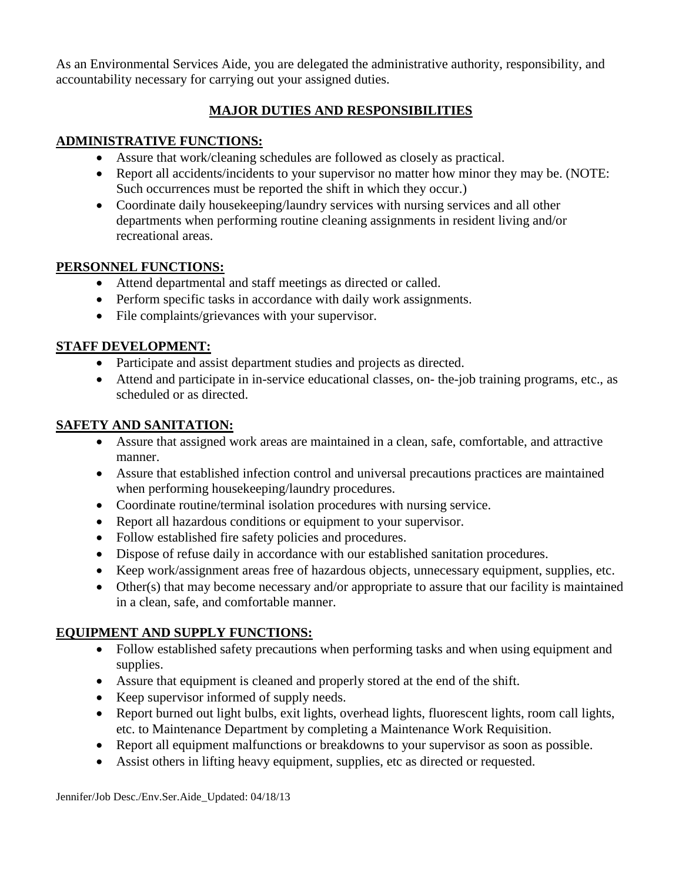As an Environmental Services Aide, you are delegated the administrative authority, responsibility, and accountability necessary for carrying out your assigned duties.

## **MAJOR DUTIES AND RESPONSIBILITIES**

## **ADMINISTRATIVE FUNCTIONS:**

- Assure that work/cleaning schedules are followed as closely as practical.
- Report all accidents/incidents to your supervisor no matter how minor they may be. (NOTE: Such occurrences must be reported the shift in which they occur.)
- Coordinate daily housekeeping/laundry services with nursing services and all other departments when performing routine cleaning assignments in resident living and/or recreational areas.

## **PERSONNEL FUNCTIONS:**

- Attend departmental and staff meetings as directed or called.
- Perform specific tasks in accordance with daily work assignments.
- File complaints/grievances with your supervisor.

## **STAFF DEVELOPMENT:**

- Participate and assist department studies and projects as directed.
- Attend and participate in in-service educational classes, on- the-job training programs, etc., as scheduled or as directed.

## **SAFETY AND SANITATION:**

- Assure that assigned work areas are maintained in a clean, safe, comfortable, and attractive manner.
- Assure that established infection control and universal precautions practices are maintained when performing housekeeping/laundry procedures.
- Coordinate routine/terminal isolation procedures with nursing service.
- Report all hazardous conditions or equipment to your supervisor.
- Follow established fire safety policies and procedures.
- Dispose of refuse daily in accordance with our established sanitation procedures.
- Keep work/assignment areas free of hazardous objects, unnecessary equipment, supplies, etc.
- Other(s) that may become necessary and/or appropriate to assure that our facility is maintained in a clean, safe, and comfortable manner.

## **EQUIPMENT AND SUPPLY FUNCTIONS:**

- Follow established safety precautions when performing tasks and when using equipment and supplies.
- Assure that equipment is cleaned and properly stored at the end of the shift.
- Keep supervisor informed of supply needs.
- Report burned out light bulbs, exit lights, overhead lights, fluorescent lights, room call lights, etc. to Maintenance Department by completing a Maintenance Work Requisition.
- Report all equipment malfunctions or breakdowns to your supervisor as soon as possible.
- Assist others in lifting heavy equipment, supplies, etc as directed or requested.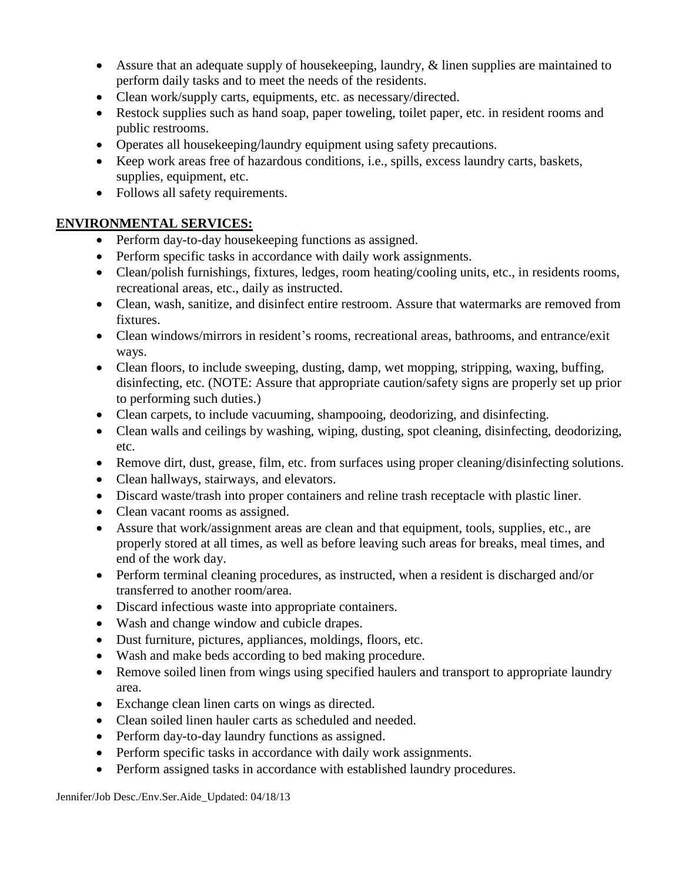- Assure that an adequate supply of housekeeping, laundry, & linen supplies are maintained to perform daily tasks and to meet the needs of the residents.
- Clean work/supply carts, equipments, etc. as necessary/directed.
- Restock supplies such as hand soap, paper toweling, toilet paper, etc. in resident rooms and public restrooms.
- Operates all housekeeping/laundry equipment using safety precautions.
- Keep work areas free of hazardous conditions, i.e., spills, excess laundry carts, baskets, supplies, equipment, etc.
- Follows all safety requirements.

### **ENVIRONMENTAL SERVICES:**

- Perform day-to-day housekeeping functions as assigned.
- Perform specific tasks in accordance with daily work assignments.
- Clean/polish furnishings, fixtures, ledges, room heating/cooling units, etc., in residents rooms, recreational areas, etc., daily as instructed.
- Clean, wash, sanitize, and disinfect entire restroom. Assure that watermarks are removed from fixtures.
- Clean windows/mirrors in resident's rooms, recreational areas, bathrooms, and entrance/exit ways.
- Clean floors, to include sweeping, dusting, damp, wet mopping, stripping, waxing, buffing, disinfecting, etc. (NOTE: Assure that appropriate caution/safety signs are properly set up prior to performing such duties.)
- Clean carpets, to include vacuuming, shampooing, deodorizing, and disinfecting.
- Clean walls and ceilings by washing, wiping, dusting, spot cleaning, disinfecting, deodorizing, etc.
- Remove dirt, dust, grease, film, etc. from surfaces using proper cleaning/disinfecting solutions.
- Clean hallways, stairways, and elevators.
- Discard waste/trash into proper containers and reline trash receptacle with plastic liner.
- Clean vacant rooms as assigned.
- Assure that work/assignment areas are clean and that equipment, tools, supplies, etc., are properly stored at all times, as well as before leaving such areas for breaks, meal times, and end of the work day.
- Perform terminal cleaning procedures, as instructed, when a resident is discharged and/or transferred to another room/area.
- Discard infectious waste into appropriate containers.
- Wash and change window and cubicle drapes.
- Dust furniture, pictures, appliances, moldings, floors, etc.
- Wash and make beds according to bed making procedure.
- Remove soiled linen from wings using specified haulers and transport to appropriate laundry area.
- Exchange clean linen carts on wings as directed.
- Clean soiled linen hauler carts as scheduled and needed.
- Perform day-to-day laundry functions as assigned.
- Perform specific tasks in accordance with daily work assignments.
- Perform assigned tasks in accordance with established laundry procedures.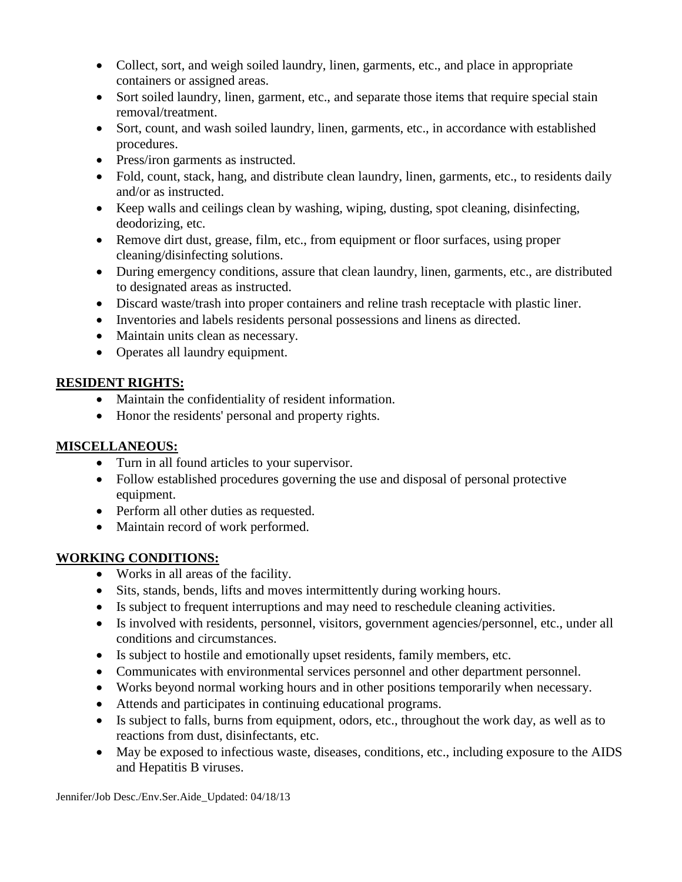- Collect, sort, and weigh soiled laundry, linen, garments, etc., and place in appropriate containers or assigned areas.
- Sort soiled laundry, linen, garment, etc., and separate those items that require special stain removal/treatment.
- Sort, count, and wash soiled laundry, linen, garments, etc., in accordance with established procedures.
- Press/iron garments as instructed.
- Fold, count, stack, hang, and distribute clean laundry, linen, garments, etc., to residents daily and/or as instructed.
- Keep walls and ceilings clean by washing, wiping, dusting, spot cleaning, disinfecting, deodorizing, etc.
- Remove dirt dust, grease, film, etc., from equipment or floor surfaces, using proper cleaning/disinfecting solutions.
- During emergency conditions, assure that clean laundry, linen, garments, etc., are distributed to designated areas as instructed.
- Discard waste/trash into proper containers and reline trash receptacle with plastic liner.
- Inventories and labels residents personal possessions and linens as directed.
- Maintain units clean as necessary.
- Operates all laundry equipment.

### **RESIDENT RIGHTS:**

- Maintain the confidentiality of resident information.
- Honor the residents' personal and property rights.

### **MISCELLANEOUS:**

- Turn in all found articles to your supervisor.
- Follow established procedures governing the use and disposal of personal protective equipment.
- Perform all other duties as requested.
- Maintain record of work performed.

## **WORKING CONDITIONS:**

- Works in all areas of the facility.
- Sits, stands, bends, lifts and moves intermittently during working hours.
- Is subject to frequent interruptions and may need to reschedule cleaning activities.
- Is involved with residents, personnel, visitors, government agencies/personnel, etc., under all conditions and circumstances.
- Is subject to hostile and emotionally upset residents, family members, etc.
- Communicates with environmental services personnel and other department personnel.
- Works beyond normal working hours and in other positions temporarily when necessary.
- Attends and participates in continuing educational programs.
- Is subject to falls, burns from equipment, odors, etc., throughout the work day, as well as to reactions from dust, disinfectants, etc.
- May be exposed to infectious waste, diseases, conditions, etc., including exposure to the AIDS and Hepatitis B viruses.